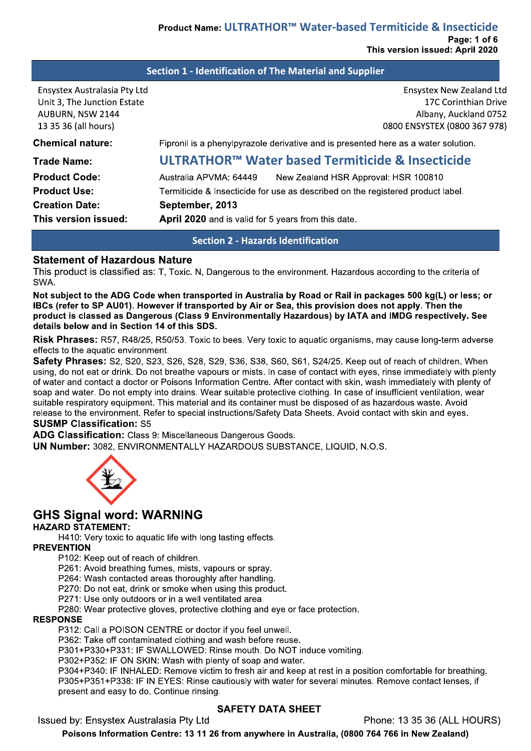### Section 1 - Identification of The Material and Supplier

| Ensystex Australasia Pty Ltd<br>Unit 3, The Junction Estate<br>AUBURN, NSW 2144 | <b>Ensystex New Zealand Ltd</b><br>17C Corinthian Drive<br>Albany, Auckland 0752   |
|---------------------------------------------------------------------------------|------------------------------------------------------------------------------------|
| 13 35 36 (all hours)                                                            | 0800 ENSYSTEX (0800 367 978)                                                       |
| <b>Chemical nature:</b>                                                         | Fipronil is a phenylpyrazole derivative and is presented here as a water solution. |
| <b>Trade Name:</b>                                                              | ULTRATHOR™ Water based Termiticide & Insecticide                                   |
| <b>Product Code:</b>                                                            | Australia APVMA: 64449<br>New Zealand HSR Approval: HSR 100810                     |
| <b>Product Use:</b>                                                             | Termiticide & Insecticide for use as described on the registered product label.    |
| <b>Creation Date:</b>                                                           | September, 2013                                                                    |
| This version issued:                                                            | April 2020 and is valid for 5 years from this date.                                |

### **Section 2 - Hazards Identification**

#### **Statement of Hazardous Nature**

This product is classified as: T. Toxic. N. Dangerous to the environment. Hazardous according to the criteria of SWA.

Not subject to the ADG Code when transported in Australia by Road or Rail in packages 500 kg(L) or less; or IBCs (refer to SP AU01). However if transported by Air or Sea, this provision does not apply. Then the product is classed as Dangerous (Class 9 Environmentally Hazardous) by IATA and IMDG respectively. See details below and in Section 14 of this SDS.

Risk Phrases: R57, R48/25, R50/53. Toxic to bees. Very toxic to aquatic organisms, may cause long-term adverse effects to the aquatic environment.

Safety Phrases: S2, S20, S23, S26, S28, S29, S36, S38, S60, S61, S24/25. Keep out of reach of children. When using, do not eat or drink. Do not breathe vapours or mists. In case of contact with eyes, rinse immediately with plenty of water and contact a doctor or Poisons Information Centre. After contact with skin, wash immediately with plenty of soap and water. Do not empty into drains. Wear suitable protective clothing. In case of insufficient ventilation, wear suitable respiratory equipment. This material and its container must be disposed of as hazardous waste. Avoid release to the environment. Refer to special instructions/Safety Data Sheets. Avoid contact with skin and eyes. **SUSMP Classification: S5** 

ADG Classification: Class 9: Miscellaneous Dangerous Goods.

UN Number: 3082, ENVIRONMENTALLY HAZARDOUS SUBSTANCE, LIQUID, N.O.S.



# **GHS Signal word: WARNING**

#### **HAZARD STATEMENT:**

H410: Very toxic to aquatic life with long lasting effects.

#### **PREVENTION**

P102: Keep out of reach of children.

P261: Avoid breathing fumes, mists, vapours or spray.

P264: Wash contacted areas thoroughly after handling.

P270: Do not eat, drink or smoke when using this product.

P271: Use only outdoors or in a well ventilated area.

P280: Wear protective gloves, protective clothing and eye or face protection.

#### **RESPONSE**

P312: Call a POISON CENTRE or doctor if you feel unwell.

P362: Take off contaminated clothing and wash before reuse.

P301+P330+P331: IF SWALLOWED: Rinse mouth. Do NOT induce vomiting.

P302+P352: IF ON SKIN: Wash with plenty of soap and water.

P304+P340; IF INHALED: Remove victim to fresh air and keep at rest in a position comfortable for breathing. P305+P351+P338: IF IN EYES: Rinse cautiously with water for several minutes. Remove contact lenses, if present and easy to do. Continue rinsing.

#### **SAFETY DATA SHEET**

Issued by: Ensystex Australasia Pty Ltd

Phone: 13 35 36 (ALL HOURS)

Poisons Information Centre: 13 11 26 from anywhere in Australia, (0800 764 766 in New Zealand)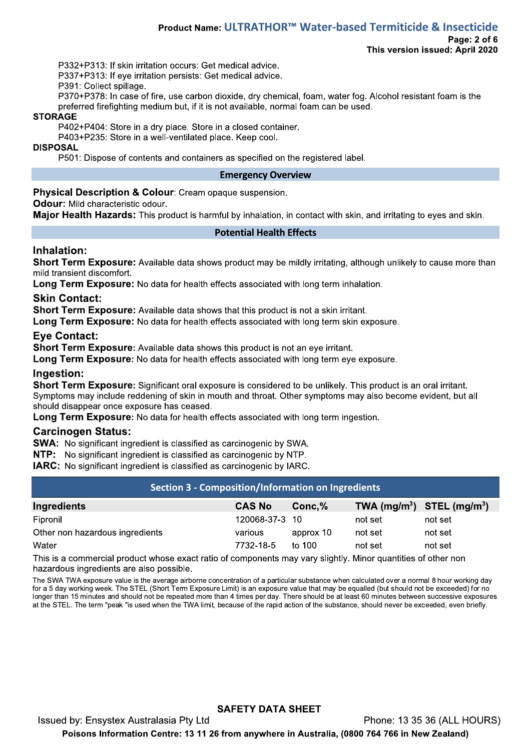#### Product Name: ULTRATHOR™ Water-based Termiticide & Insecticide Page: 2 of 6 This version issued: April 2020

P332+P313: If skin irritation occurs: Get medical advice.

P337+P313: If eve irritation persists: Get medical advice.

P391: Collect spillage.

P370+P378: In case of fire, use carbon dioxide, dry chemical, foam, water fog. Alcohol resistant foam is the preferred firefighting medium but, if it is not available, normal foam can be used.

#### **STORAGE**

P402+P404: Store in a dry place. Store in a closed container.

P403+P235: Store in a well-ventilated place. Keep cool.

#### **DISPOSAL**

P501: Dispose of contents and containers as specified on the registered label.

#### **Emergency Overview**

**Physical Description & Colour: Cream opaque suspension.** 

### Odour: Mild characteristic odour.

Major Health Hazards: This product is harmful by inhalation, in contact with skin, and irritating to eves and skin.

#### **Potential Health Effects**

## Inhalation:

Short Term Exposure: Available data shows product may be mildly irritating, although unlikely to cause more than mild transient discomfort.

Long Term Exposure: No data for health effects associated with long term inhalation.

### **Skin Contact:**

**Short Term Exposure:** Available data shows that this product is not a skin irritant.

Long Term Exposure: No data for health effects associated with long term skin exposure.

## **Eve Contact:**

**Short Term Exposure:** Available data shows this product is not an eve irritant.

Long Term Exposure: No data for health effects associated with long term eye exposure.

#### Ingestion:

Short Term Exposure: Significant oral exposure is considered to be unlikely. This product is an oral irritant. Symptoms may include reddening of skin in mouth and throat. Other symptoms may also become evident, but all should disappear once exposure has ceased.

Long Term Exposure: No data for health effects associated with long term ingestion.

## **Carcinogen Status:**

**SWA:** No significant ingredient is classified as carcinogenic by SWA.

NTP: No significant ingredient is classified as carcinogenic by NTP.

**IARC:** No significant ingredient is classified as carcinogenic by IARC.

| <b>Section 3 - Composition/Information on Ingredients</b>                                                               |                |           |         |                                |  |  |
|-------------------------------------------------------------------------------------------------------------------------|----------------|-----------|---------|--------------------------------|--|--|
| Ingredients                                                                                                             | <b>CAS No</b>  | Conc, %   |         | TWA $(mg/m^3)$ STEL $(mg/m^3)$ |  |  |
| Fipronil                                                                                                                | 120068-37-3 10 |           | not set | not set                        |  |  |
| Other non hazardous ingredients                                                                                         | various        | approx 10 | not set | not set                        |  |  |
| Water                                                                                                                   | 7732-18-5      | to $100$  | not set | not set                        |  |  |
| ____<br>the contract of the contract of the contract of the contract of the contract of the contract of the contract of |                |           |         | - -                            |  |  |

This is a commercial product whose exact ratio of components may vary slightly. Minor quantities of other non hazardous ingredients are also possible.

The SWA TWA exposure value is the average airborne concentration of a particular substance when calculated over a normal 8 hour working day for a 5 day working week. The STEL (Short Term Exposure Limit) is an exposure value that may be equalled (but should not be exceeded) for no longer than 15 minutes and should not be repeated more than 4 times per day. There should be at least 60 minutes between successive exposures at the STEL. The term "peak "is used when the TWA limit, because of the rapid action of the substance, should never be exceeded, even briefly.

# **SAFETY DATA SHEET**

Issued by: Ensystex Australasia Pty Ltd Phone: 13 35 36 (ALL HOURS) Poisons Information Centre: 13 11 26 from anywhere in Australia, (0800 764 766 in New Zealand)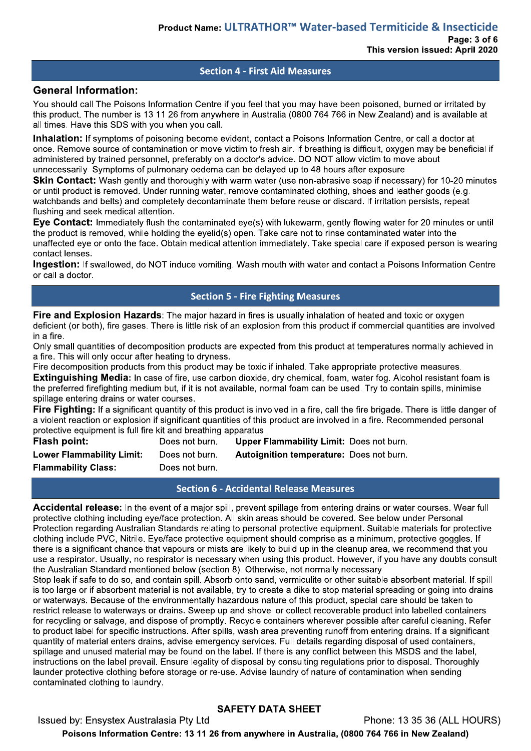#### **Section 4 - First Aid Measures**

#### **General Information:**

You should call The Poisons Information Centre if you feel that you may have been poisoned, burned or irritated by this product. The number is 13 11 26 from anywhere in Australia (0800 764 766 in New Zealand) and is available at all times. Have this SDS with you when you call.

Inhalation: If symptoms of poisoning become evident, contact a Poisons Information Centre, or call a doctor at once. Remove source of contamination or move victim to fresh air. If breathing is difficult, oxygen may be beneficial if administered by trained personnel, preferably on a doctor's advice. DO NOT allow victim to move about unnecessarily. Symptoms of pulmonary oedema can be delayed up to 48 hours after exposure.

Skin Contact: Wash gently and thoroughly with warm water (use non-abrasive soap if necessary) for 10-20 minutes or until product is removed. Under running water, remove contaminated clothing, shoes and leather goods (e.g. watchbands and belts) and completely decontaminate them before reuse or discard. If irritation persists, repeat flushing and seek medical attention.

Eve Contact: Immediately flush the contaminated eve(s) with lukewarm, gently flowing water for 20 minutes or until the product is removed, while holding the evelid(s) open. Take care not to rinse contaminated water into the unaffected eye or onto the face. Obtain medical attention immediately. Take special care if exposed person is wearing contact lenses.

Ingestion: If swallowed, do NOT induce vomiting. Wash mouth with water and contact a Poisons Information Centre or call a doctor.

### **Section 5 - Fire Fighting Measures**

Fire and Explosion Hazards: The major hazard in fires is usually inhalation of heated and toxic or oxygen deficient (or both), fire gases. There is little risk of an explosion from this product if commercial quantities are involved in a fire.

Only small quantities of decomposition products are expected from this product at temperatures normally achieved in a fire. This will only occur after heating to dryness.

Fire decomposition products from this product may be toxic if inhaled. Take appropriate protective measures.

**Extinguishing Media:** In case of fire, use carbon dioxide, dry chemical, foam, water fog. Alcohol resistant foam is the preferred firefighting medium but, if it is not available, normal foam can be used. Try to contain spills, minimise spillage entering drains or water courses.

Fire Fighting: If a significant quantity of this product is involved in a fire, call the fire brigade. There is little danger of a violent reaction or explosion if significant quantities of this product are involved in a fire. Recommended personal protective equipment is full fire kit and breathing apparatus.

| <b>Flash point:</b>              | Does not burn. | <b>Upper Flammability Limit: Does not burn.</b> |
|----------------------------------|----------------|-------------------------------------------------|
| <b>Lower Flammability Limit:</b> | Does not burn. | <b>Autoignition temperature: Does not burn.</b> |
| <b>Flammability Class:</b>       | Does not burn. |                                                 |

## **Section 6 - Accidental Release Measures**

Accidental release: In the event of a major spill, prevent spillage from entering drains or water courses. Wear full protective clothing including eye/face protection. All skin areas should be covered. See below under Personal Protection regarding Australian Standards relating to personal protective equipment. Suitable materials for protective clothing include PVC, Nitrile. Eye/face protective equipment should comprise as a minimum, protective goggles. If there is a significant chance that vapours or mists are likely to build up in the cleanup area, we recommend that you use a respirator. Usually, no respirator is necessary when using this product. However, if you have any doubts consult the Australian Standard mentioned below (section 8). Otherwise, not normally necessary.

Stop leak if safe to do so, and contain spill. Absorb onto sand, vermiculite or other suitable absorbent material. If spill is too large or if absorbent material is not available, try to create a dike to stop material spreading or going into drains or waterways. Because of the environmentally hazardous nature of this product, special care should be taken to restrict release to waterways or drains. Sweep up and shovel or collect recoverable product into labelled containers for recycling or salvage, and dispose of promptly. Recycle containers wherever possible after careful cleaning. Refer to product label for specific instructions. After spills, wash area preventing runoff from entering drains. If a significant quantity of material enters drains, advise emergency services. Full details regarding disposal of used containers, spillage and unused material may be found on the label. If there is any conflict between this MSDS and the label, instructions on the label prevail. Ensure legality of disposal by consulting regulations prior to disposal. Thoroughly launder protective clothing before storage or re-use. Advise laundry of nature of contamination when sending contaminated clothing to laundry.

## **SAFETY DATA SHEET**

Issued by: Ensystex Australasia Pty Ltd Phone: 13 35 36 (ALL HOURS) Poisons Information Centre: 13 11 26 from anywhere in Australia, (0800 764 766 in New Zealand)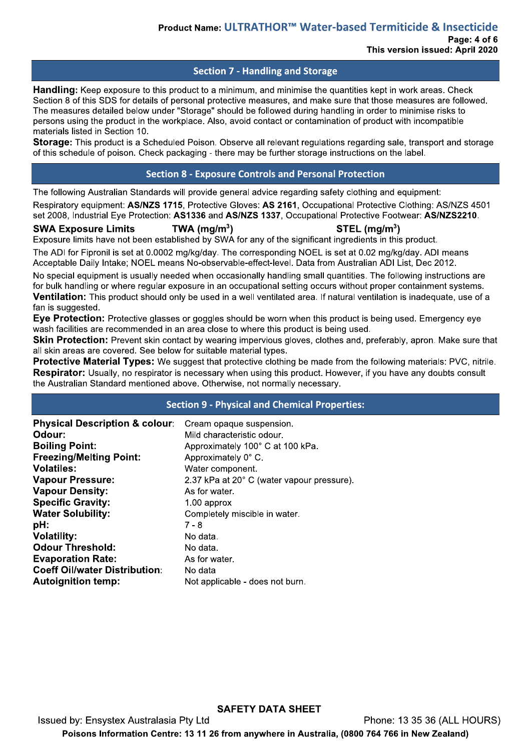## **Section 7 - Handling and Storage**

Handling: Keep exposure to this product to a minimum, and minimise the quantities kept in work areas. Check Section 8 of this SDS for details of personal protective measures, and make sure that those measures are followed. The measures detailed below under "Storage" should be followed during handling in order to minimise risks to persons using the product in the workplace. Also, avoid contact or contamination of product with incompatible materials listed in Section 10.

Storage: This product is a Scheduled Poison. Observe all relevant regulations regarding sale, transport and storage of this schedule of poison. Check packaging - there may be further storage instructions on the label.

## **Section 8 - Exposure Controls and Personal Protection**

The following Australian Standards will provide general advice regarding safety clothing and equipment:

Respiratory equipment: AS/NZS 1715, Protective Gloves: AS 2161, Occupational Protective Clothing: AS/NZS 4501 set 2008, Industrial Eye Protection: AS1336 and AS/NZS 1337, Occupational Protective Footwear: AS/NZS2210.

#### **SWA Exposure Limits**

#### STEL  $(mq/m<sup>3</sup>)$

Exposure limits have not been established by SWA for any of the significant ingredients in this product.

TWA ( $mq/m<sup>3</sup>$ )

The ADI for Fipronil is set at 0.0002 mg/kg/day. The corresponding NOEL is set at 0.02 mg/kg/day. ADI means Acceptable Daily Intake: NOEL means No-observable-effect-level. Data from Australian ADI List. Dec 2012.

No special equipment is usually needed when occasionally handling small quantities. The following instructions are for bulk handling or where regular exposure in an occupational setting occurs without proper containment systems. Ventilation: This product should only be used in a well ventilated area. If natural ventilation is inadequate, use of a fan is suggested.

Eye Protection: Protective glasses or goggles should be worn when this product is being used. Emergency eye wash facilities are recommended in an area close to where this product is being used.

Skin Protection: Prevent skin contact by wearing impervious gloves, clothes and, preferably, apron. Make sure that all skin areas are covered. See below for suitable material types.

Protective Material Types: We suggest that protective clothing be made from the following materials: PVC, nitrile. Respirator: Usually, no respirator is necessary when using this product. However, if you have any doubts consult the Australian Standard mentioned above. Otherwise, not normally necessary.

## **Section 9 - Physical and Chemical Properties:**

| <b>Specific Gravity:</b><br>$1.00$ approx<br><b>Water Solubility:</b><br>Completely miscible in water.<br>pH:<br>$7 - 8$<br><b>Volatility:</b><br>No data.<br><b>Odour Threshold:</b><br>No data.<br><b>Evaporation Rate:</b><br>As for water.<br><b>Coeff Oil/water Distribution:</b><br>No data |
|---------------------------------------------------------------------------------------------------------------------------------------------------------------------------------------------------------------------------------------------------------------------------------------------------|
| <b>Autoignition temp:</b><br>Not applicable - does not burn.                                                                                                                                                                                                                                      |

**SAFETY DATA SHEET** Issued by: Ensystex Australasia Pty Ltd Phone: 13 35 36 (ALL HOURS) Poisons Information Centre: 13 11 26 from anywhere in Australia, (0800 764 766 in New Zealand)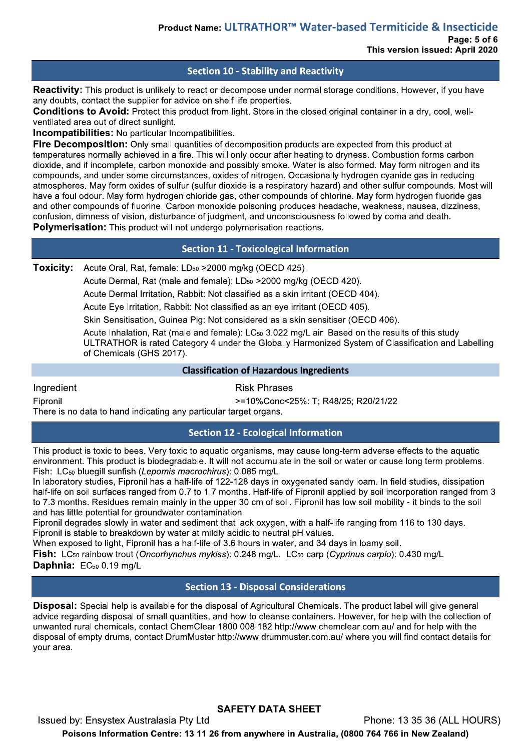## **Section 10 - Stability and Reactivity**

**Reactivity:** This product is unlikely to react or decompose under normal storage conditions. However, if you have any doubts, contact the supplier for advice on shelf life properties.

Conditions to Avoid: Protect this product from light. Store in the closed original container in a dry, cool, wellventilated area out of direct sunlight.

**Incompatibilities:** No particular Incompatibilities.

Fire Decomposition: Only small quantities of decomposition products are expected from this product at temperatures normally achieved in a fire. This will only occur after heating to dryness. Combustion forms carbon dioxide, and if incomplete, carbon monoxide and possibly smoke. Water is also formed. May form nitrogen and its compounds, and under some circumstances, oxides of nitrogen. Occasionally hydrogen cyanide gas in reducing atmospheres. May form oxides of sulfur (sulfur dioxide is a respiratory hazard) and other sulfur compounds. Most will have a foul odour. May form hydrogen chloride gas, other compounds of chlorine. May form hydrogen fluoride gas and other compounds of fluorine. Carbon monoxide poisoning produces headache, weakness, nausea, dizziness, confusion, dimness of vision, disturbance of judgment, and unconsciousness followed by coma and death. Polymerisation: This product will not undergo polymerisation reactions.

## **Section 11 - Toxicological Information**

**Toxicity:** Acute Oral, Rat, female: LD<sub>50</sub> > 2000 mg/kg (OECD 425).

Acute Dermal, Rat (male and female): LD<sub>50</sub> > 2000 mg/kg (OECD 420).

Acute Dermal Irritation, Rabbit: Not classified as a skin irritant (OECD 404).

Acute Eye Irritation, Rabbit: Not classified as an eye irritant (OECD 405).

Skin Sensitisation, Guinea Pig: Not considered as a skin sensitiser (OECD 406).

Acute Inhalation, Rat (male and female): LC<sub>50</sub> 3.022 mg/L air. Based on the results of this study ULTRATHOR is rated Category 4 under the Globally Harmonized System of Classification and Labelling of Chemicals (GHS 2017).

## **Classification of Hazardous Ingredients**

Ingredient

Finronil

**Risk Phrases** 

>=10%Conc<25%: T; R48/25; R20/21/22

There is no data to hand indicating any particular target organs.

Issued by: Ensystex Australasia Pty Ltd

# **Section 12 - Ecological Information**

This product is toxic to bees. Very toxic to aquatic organisms, may cause long-term adverse effects to the aquatic environment. This product is biodegradable. It will not accumulate in the soil or water or cause long term problems. Fish: LC<sub>50</sub> bluegill sunfish (Lepomis macrochirus): 0.085 mg/L

In laboratory studies, Fipronil has a half-life of 122-128 days in oxygenated sandy loam. In field studies, dissipation half-life on soil surfaces ranged from 0.7 to 1.7 months. Half-life of Fipronil applied by soil incorporation ranged from 3 to 7.3 months. Residues remain mainly in the upper 30 cm of soil. Fipronil has low soil mobility - it binds to the soil and has little potential for groundwater contamination.

Fipronil degrades slowly in water and sediment that lack oxygen, with a half-life ranging from 116 to 130 days. Fipronil is stable to breakdown by water at mildly acidic to neutral pH values.

When exposed to light. Fipronil has a half-life of 3.6 hours in water, and 34 days in loamy soil.

Fish: LC<sub>50</sub> rainbow trout (Oncorhynchus mykiss): 0.248 mg/L. LC<sub>50</sub> carp (Cyprinus carpio): 0.430 mg/L Daphnia: EC<sub>50</sub> 0.19 mg/L

## **Section 13 - Disposal Considerations**

**Disposal:** Special help is available for the disposal of Agricultural Chemicals. The product label will give general advice regarding disposal of small quantities, and how to cleanse containers. However, for help with the collection of unwanted rural chemicals, contact ChemClear 1800 008 182 http://www.chemclear.com.au/ and for help with the disposal of empty drums, contact DrumMuster http://www.drummuster.com.au/ where you will find contact details for your area.

Poisons Information Centre: 13 11 26 from anywhere in Australia, (0800 764 766 in New Zealand)